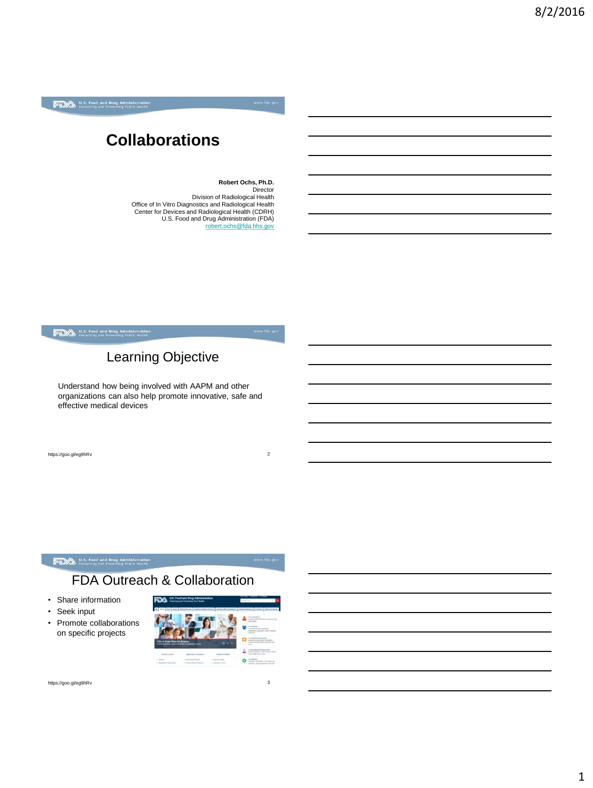### **Collaborations**

**Robert Ochs, Ph.D. Director** Division of Radiological Health Office of In Vitro Diagnostics and Radiological Health Center for Devices and Radiological Health (CDRH) U.S. Food and Drug Administration (FDA) [robert.ochs@fda.hhs.gov](mailto:robert.ochs@fda.hhs.gov)

U.S. Food and Drug Administration

### Learning Objective

Understand how being involved with AAPM and other organizations can also help promote innovative, safe and effective medical devices

https://goo.gl/eg9hRv 2

#### U.S. Food and Drug Administration<br>Protecting and Promoting Public Health

### FDA Outreach & Collaboration

- Share information
- Seek input
- Promote collaborations on specific projects



https://goo.gl/eg9hRv 3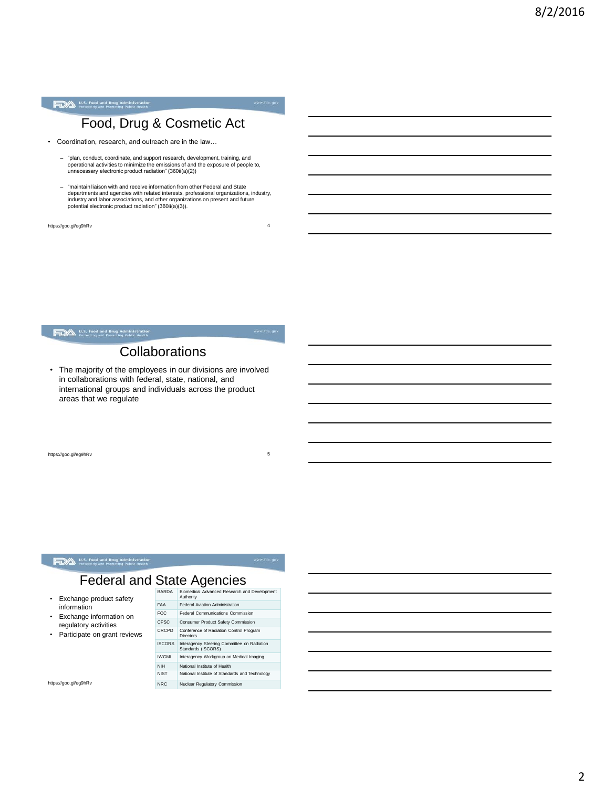

### Food, Drug & Cosmetic Act

- Coordination, research, and outreach are in the law…
	- "plan, conduct, coordinate, and support research, development, training, and operational activities to minimize the emissions of and the exposure of people to, unnecessary electronic product radiation" (360ii(a)(2))
	- "maintain liaison with and receive information from other Federal and State departments and agencies with related interests, professional organizations, industry, industry and labor associations, and other organizations on present and future potential electronic product radiation" (360ii(a)(3)).

https://goo.gl/eg9hRv 4

U.S. Food and Drug Administration<br>Protecting and Promoting Public Health

### **Collaborations**

• The majority of the employees in our divisions are involved in collaborations with federal, state, national, and international groups and individuals across the product areas that we regulate

https://goo.gl/eg9hRv 5

#### **FDA** U.S. Food and Drug Administration

### Federal and State Agencies

- Exchange product safety information
- Exchange information on regulatory activities
- Participate on grant reviews

|  | BARDA         | Biomedical Advanced Research and Development<br>Authority         |
|--|---------------|-------------------------------------------------------------------|
|  | <b>FAA</b>    | <b>Federal Aviation Administration</b>                            |
|  | FCC.          | Federal Communications Commission                                 |
|  | <b>CPSC</b>   | <b>Consumer Product Safety Commission</b>                         |
|  | CRCPD         | Conference of Radiation Control Program<br>Directors              |
|  | <b>ISCORS</b> | Interagency Steering Committee on Radiation<br>Standards (ISCORS) |
|  | <b>IWGMI</b>  | Interagency Workgroup on Medical Imaging                          |
|  | <b>NIH</b>    | National Institute of Health                                      |
|  | <b>NIST</b>   | National Institute of Standards and Technology                    |

https://goo.gl/eg9hRv NRC Nuclear Regulatory Commission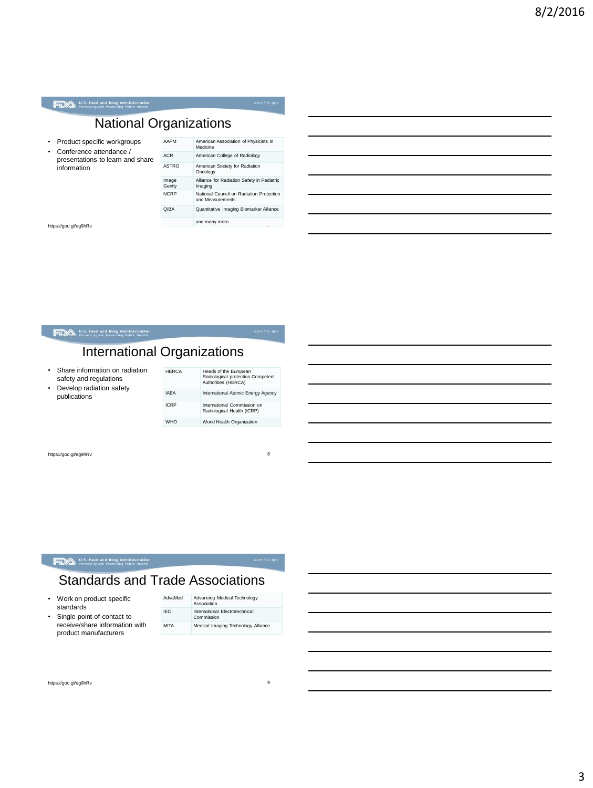### National Organizations

- Product specific workgroups • Conference attendance /
- presentations to learn and share information

| AAPM            | American Association of Physicists in<br>Medicine            |
|-----------------|--------------------------------------------------------------|
| <b>ACR</b>      | American College of Radiology                                |
| <b>ASTRO</b>    | American Society for Radiation<br>Oncology                   |
| Image<br>Gently | Alliance for Radiation Safety in Pediatric<br>Imaging        |
| <b>NCRP</b>     | National Council on Radiation Protection<br>and Measurements |
| <b>QIBA</b>     | Quantitative Imaging Biomarker Alliance                      |
|                 | and many more                                                |
|                 | ï                                                            |

https://goo.gl/eg9hRv

#### International Organizations • Share information on radiation safety and regulations  $HERC$

• Develop radiation safety publications

U.S. Food and Drug Administration

| <b>HFRCA</b> | Heads of the European<br>Radiological protection Competent<br>Authorities (HERCA) |
|--------------|-----------------------------------------------------------------------------------|
| <b>IAFA</b>  | International Atomic Energy Agency                                                |
| <b>ICRP</b>  | International Commission on<br>Radiological Health (ICRP)                         |
| WHO          | World Health Organization                                                         |

https://goo.gl/eg9hRv

#### U.S. Food and Drug Administration

### Standards and Trade Associations

**ICRP** 

WHO

- Work on product specific standards
- Single point-of-contact to receive/share information with product manufacturers

| AdvaMed     | Advancing Medical Technology<br>Association  |
|-------------|----------------------------------------------|
| IFC.        | International Electrotechnical<br>Commission |
| <b>MITA</b> | Medical Imaging Technology Alliance          |

https://goo.gl/eg9hRv

8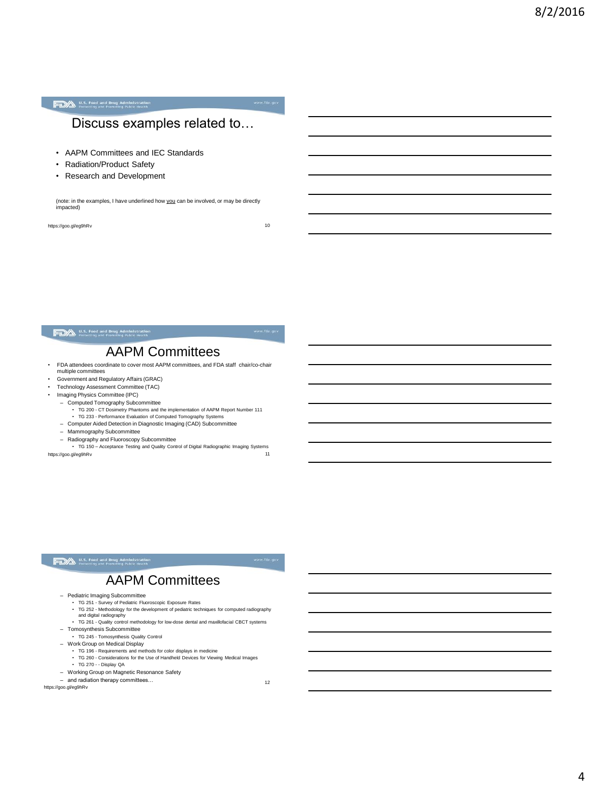4

U.S. Food and Drug Administration

### Discuss examples related to…

- AAPM Committees and IEC Standards
- Radiation/Product Safety
- Research and Development

(note: in the examples, I have underlined how you can be involved, or may be directly impacted)

https://goo.gl/eg9hRv 10

#### U.S. Food and Drug Administration

### AAPM Committees

- FDA attendees coordinate to cover most AAPM committees, and FDA staff chair/co-chair multiple committees
- Government and Regulatory Affairs (GRAC)
- Technology Assessment Committee (TAC)<br>• Imaging Physics Committee (IPC)
- Imaging Physics Committee (IPC)
- Computed Tomography Subcommittee
	- TG 200 CT Dosimetry Phantoms and the implementation of AAPM Report Number 111 TG 233 Performance Evaluation of Computed Tomography Systems
- Computer Aided Detection in Diagnostic Imaging (CAD) Subcommittee
- Mammography Subcommittee
- 

– Radiography and Fluoroscopy Subcommittee • TG 150 – Acceptance Testing and Quality Control of Digital Radiographic Imaging Systems 11 https://goo.gl/eg9hRv

#### U.S. Food and Drug Administration<br>Protecting and Promoting Public Health

### AAPM Committees

- Pediatric Imaging Subcommittee
	-
	- TG 251 Survey of Pediatric Fluoroscopic Exposure Rates TG 252 Methodology for the development of pediatric techniques for computed radiography and digital radiography
- TG 261 Quality control methodology for low-dose dental and maxillofacial CBCT systems – Tomosynthesis Subcommittee
- TG 245 Tomosynthesis Quality Control
- Work Group on Medical Display
- 
- TG 196 Requirements and methods for color displays in medicine TG 260 Considerations for the Use of Handheld Devices for Viewing Medical Images
- TG 270 - Display QA
- Working Group on Magnetic Resonance Safety
- and radiation therapy committees...

https://goo.gl/eg9hRv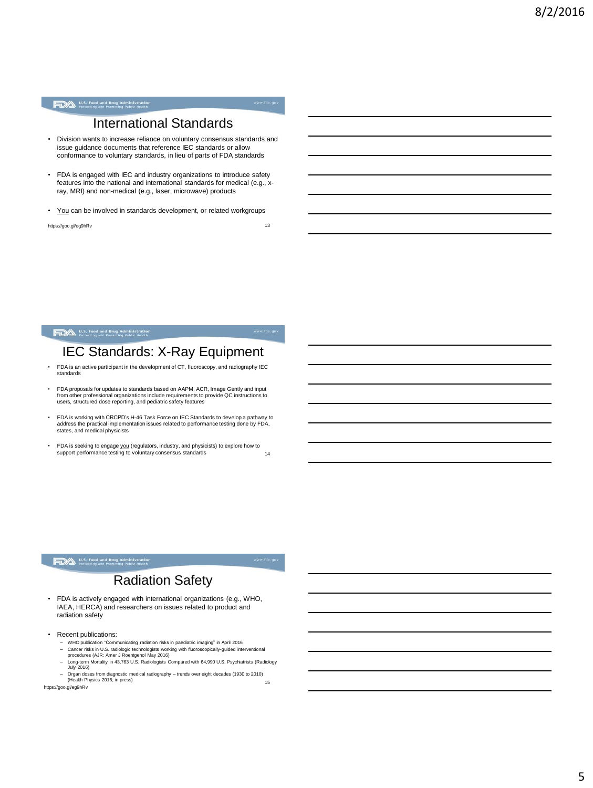#### U.S. Food and Drug Administration<br>Protecting and Promoting Public Health

### International Standards

- Division wants to increase reliance on voluntary consensus standards and issue guidance documents that reference IEC standards or allow conformance to voluntary standards, in lieu of parts of FDA standards
- FDA is engaged with IEC and industry organizations to introduce safety features into the national and international standards for medical (e.g., xray, MRI) and non-medical (e.g., laser, microwave) products
- You can be involved in standards development, or related workgroups

https://goo.gl/eg9hRv 13

#### U.S. Food and Drug Administration

### IEC Standards: X-Ray Equipment

- FDA is an active participant in the development of CT, fluoroscopy, and radiography IEC standards
- FDA proposals for updates to standards based on AAPM, ACR, Image Gently and input from other professional organizations include requirements to provide QC instructions to users, structured dose reporting, and pediatric safety features
- FDA is working with CRCPD's H-46 Task Force on IEC Standards to develop a pathway to address the practical implementation issues related to performance testing done by FDA, states, and medical physicists
- FDA is seeking to engage you (regulators, industry, and physicists) to explore how to support performance testing to voluntary consensus standards 14

#### **FDA** U.S. Food and Drug Administration

### Radiation Safety

- FDA is actively engaged with international organizations (e.g., WHO, IAEA, HERCA) and researchers on issues related to product and radiation safety
- Recent publications:
	-
	- WHO publication "Communicating radiation risks in paediatric imaging" in April 2016<br>– Cancer risks in U.S. radiologic technologists working with fluoroscopically-guided interventional<br> procedures (AJR: Amer J Ro – Long-term Mortality in 43,763 U.S. Radiologists Compared with 64,990 U.S. Psychiatrists (Radiology
	- July 2016)

– Organ doses from diagnostic medical radiography – trends over eight decades (1930 to 2010) (Health Physics 2016; in press) <sup>15</sup> https://goo.gl/eg9hRv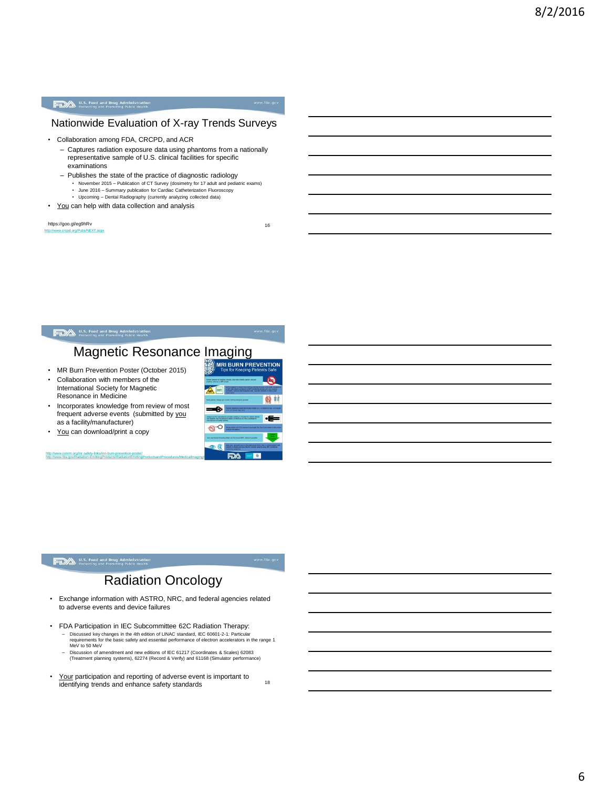#### U.S. Food and Drug Administration<br>Protecting and Promoting Public Health

#### Nationwide Evaluation of X-ray Trends Surveys

- Collaboration among FDA, CRCPD, and ACR
	- Captures radiation exposure data using phantoms from a nationally representative sample of U.S. clinical facilities for specific examinations
	- Publishes the state of the practice of diagnostic radiology
		- November 2015 Publication of CT Survey (dosimetry for 17 adult and pediatric exams) June 2016 Summary publication for Cardiac Catheterization Fluoroscopy
	- Upcoming Dental Radiography (currently analyzing collected data)
- You can help with data collection and analysis

<http://www.crcpd.org/Pubs/NEXT.aspx> https://goo.gl/eg9hRv

16

#### U.S. Food and Drug Administration

# Magnetic Resonance Imaging

- MR Burn Prevention Poster (October 2015)
- Collaboration with members of the International Society for Magnetic Resonance in Medicine
- Incorporates knowledge from review of most frequent adverse events (submitted by you as a facility/manufacturer)
- You can download/print a copy

<http://www.ismrm.org/mr-safety-links/mri-burn-prevention-poster/><br>http://www.fda.gov/Radiation-EmittingProducts/RadiationEmittingProductsandProcedures/MedicalImaging/MRI/MRI/DOA



#### **FDA** U.S. Food and Drug Administration

### Radiation Oncology

- Exchange information with ASTRO, NRC, and federal agencies related to adverse events and device failures
- FDA Participation in IEC Subcommittee 62C Radiation Therapy:
	- Discussed key changes in the 4th edition of LINAC standard, IEC 60601-2-1: Particular requirements for the basic safety and essential performance of electron accelerators in the range 1 MeV to 50 MeV
	- Discussion of amendment and new editions of IEC 61217 (Coordinates & Scales) 62083 (Treatment planning systems), 62274 (Record & Verify) and 61168 (Simulator performance)
- Your participation and reporting of adverse event is important to <u>it out</u> participation and reporting or adverse event is important to identifying trends and enhance safety standards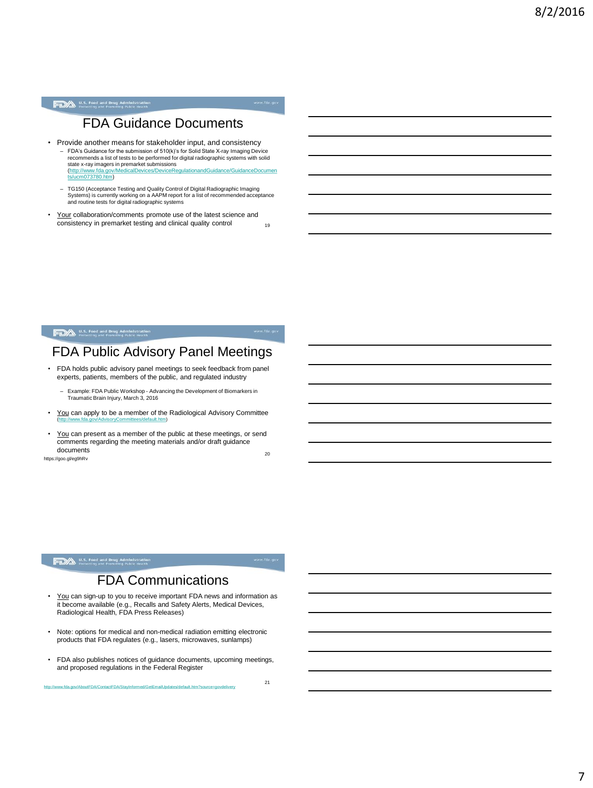#### U.S. Food and Drug Administration<br>Protecting and Promoting Public Health

### FDA Guidance Documents

- Provide another means for stakeholder input, and consistency – FDA's Guidance for the submission of 510(k)'s for Solid State X-ray Imaging Device recommends a list of tests to be performed for digital radiographic systems with solid s**tate x-ray imagers in premarket submissions**<br>[\(http://www.fda.gov/MedicalDevices/DeviceRegulationandGuidance/GuidanceDocumen](http://www.fda.gov/MedicalDevices/DeviceRegulationandGuidance/GuidanceDocuments/ucm073780.htm)<br>t<u>s/ucm073780.htm</u>)
	- TG150 (Acceptance Testing and Quality Control of Digital Radiographic Imaging Systems) is currently working on a AAPM report for a list of recommended acceptance and routine tests for digital radiographic systems
- Your collaboration/comments promote use of the latest science and  $\overline{\text{consistency}}$  in premarket testing and clinical quality control  $\overline{\text{19}}$

#### U.S. Food and Drug Administration

### FDA Public Advisory Panel Meetings

- FDA holds public advisory panel meetings to seek feedback from panel experts, patients, members of the public, and regulated industry
	- Example: FDA Public Workshop Advancing the Development of Biomarkers in Traumatic Brain Injury, March 3, 2016
- You can apply to be a member of the Radiological Advisory Committee [\(http://www.fda.gov/AdvisoryCommittees/default.htm](http://www.fda.gov/AdvisoryCommittees/default.htm))
- You can present as a member of the public at these meetings, or send comments regarding the meeting materials and/or draft guidance<br>documents documents 20

https://goo.gl/eg9hRv

#### **FDA** U.S. Food and Drug Administration

### FDA Communications

- You can sign-up to you to receive important FDA news and information as it become available (e.g., Recalls and Safety Alerts, Medical Devices, Radiological Health, FDA Press Releases)
- Note: options for medical and non-medical radiation emitting electronic products that FDA regulates (e.g., lasers, microwaves, sunlamps)
- FDA also publishes notices of guidance documents, upcoming meetings, and proposed regulations in the Federal Register

http://www.fda.gov/AboutFDA/ContactFDA/StayInformed/GetEmailUpdates/default.htm?source=gov

21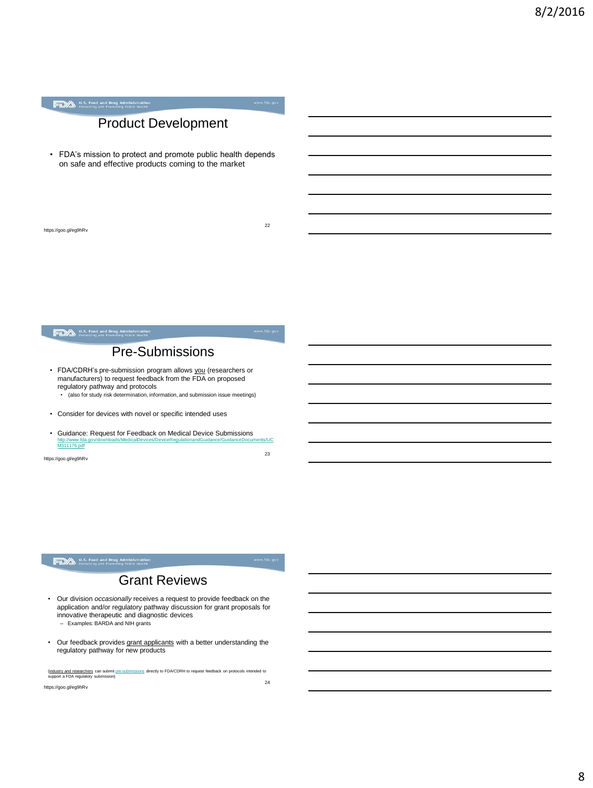### Product Development

• FDA's mission to protect and promote public health depends on safe and effective products coming to the market

https://goo.gl/eg9hRv

22

## U.S. Food and Drug Administration<br>Protecting and Promoting Public Health

### Pre-Submissions

- FDA/CDRH's pre-submission program allows *you* (researchers or manufacturers) to request feedback from the FDA on proposed regulatory pathway and protocols
	- (also for study risk determination, information, and submission issue meetings)
- Consider for devices with novel or specific intended uses
- Guidance: Request for Feedback on Medical Device Submissions [http://www.fda.gov/downloads/MedicalDevices/DeviceRegulationandGuidance/GuidanceDocuments/UC](http://www.fda.gov/downloads/MedicalDevices/DeviceRegulationandGuidance/GuidanceDocuments/UCM311176.pdf) [M311176.pdf](http://www.fda.gov/downloads/MedicalDevices/DeviceRegulationandGuidance/GuidanceDocuments/UCM311176.pdf)

https://goo.gl/eg9hRv

#### **FDA** U.S. Food and Drug Administration

### Grant Reviews

- Our division *occasionally* receives a request to provide feedback on the application and/or regulatory pathway discussion for grant proposals for innovative therapeutic and diagnostic devices – Examples: BARDA and NIH grants
- Our feedback provides grant applicants with a better understanding the regulatory pathway for new products

(industry and researchers can submit [pre-submissions](http://www.fda.gov/downloads/medicaldevices/deviceregulationandguidance/guidancedocuments/ucm311176.pdf) directly to FDA/CDRH to request feedback on protocols intended to<br>support a FDA regulatory submission)

https://goo.gl/eg9hRv

23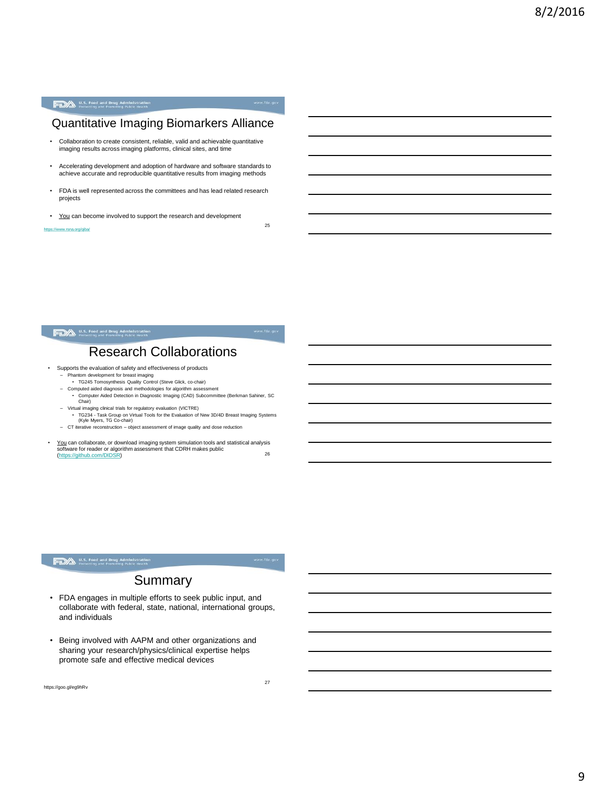### Quantitative Imaging Biomarkers Alliance

- Collaboration to create consistent, reliable, valid and achievable quantitative imaging results across imaging platforms, clinical sites, and time
- Accelerating development and adoption of hardware and software standards to achieve accurate and reproducible quantitative results from imaging methods
- FDA is well represented across the committees and has lead related research projects
- You can become involved to support the research and development

<https://www.rsna.org/qiba/>

#### U.S. Food and Drug Administration

25

### Research Collaborations

- Supports the evaluation of safety and effectiveness of products
	- Phantom development for breast imaging TG245 Tomosynthesis Quality Control (Steve Glick, co-chair)
	-
	- Computed aided diagnosis and methodologies for algorithm assessment Computer Aided Detection in Diagnostic Imaging (CAD) Subcommittee (Berkman Sahiner, SC Chair)
	- Virtual imaging clinical trials for regulatory evaluation (VICTRE) TG234 Task Group on Virtual Tools for the Evaluation of New 3D/4D Breast Imaging Systems (Kyle Myers, TG Co-chair)
	- CT iterative reconstruction object assessment of image quality and dose reduction
	-
- You can collaborate, or download imaging system simulation tools and statistical analysis software for reader or algorithm assessment that CDRH makes public Soliwate for reader or algorithm assessment that CDNTTmakes public<br>[\(https://github.com/DIDSR](https://github.com/DIDSR)) 26

#### **FDA** U.S. Food and Drug Administration

#### Summary

- FDA engages in multiple efforts to seek public input, and collaborate with federal, state, national, international groups, and individuals
- Being involved with AAPM and other organizations and sharing your research/physics/clinical expertise helps promote safe and effective medical devices